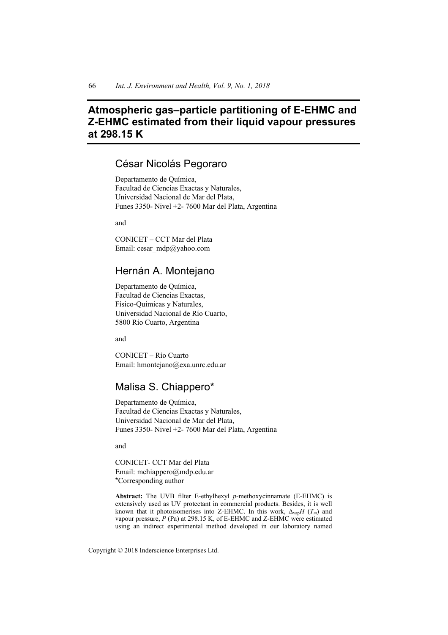# **Atmospheric gas–particle partitioning of E-EHMC and Z-EHMC estimated from their liquid vapour pressures at 298.15 K**

## César Nicolás Pegoraro

Departamento de Química, Facultad de Ciencias Exactas y Naturales, Universidad Nacional de Mar del Plata, Funes 3350- Nivel +2- 7600 Mar del Plata, Argentina

and

CONICET – CCT Mar del Plata Email: cesar\_mdp@yahoo.com

## Hernán A. Montejano

Departamento de Química, Facultad de Ciencias Exactas, Físico-Químicas y Naturales, Universidad Nacional de Río Cuarto, 5800 Río Cuarto, Argentina

and

CONICET – Río Cuarto Email: hmontejano@exa.unrc.edu.ar

## Malisa S. Chiappero\*

Departamento de Química, Facultad de Ciencias Exactas y Naturales, Universidad Nacional de Mar del Plata, Funes 3350- Nivel +2- 7600 Mar del Plata, Argentina

and

CONICET- CCT Mar del Plata Email: mchiappero@mdp.edu.ar \*Corresponding author

**Abstract:** The UVB filter E-ethylhexyl *p*-methoxycinnamate (E-EHMC) is extensively used as UV protectant in commercial products. Besides, it is well known that it photoisomerises into Z-EHMC. In this work,  $\Delta_{\text{van}}H(T_m)$  and vapour pressure, *P* (Pa) at 298.15 K, of E-EHMC and Z-EHMC were estimated using an indirect experimental method developed in our laboratory named

Copyright © 2018 Inderscience Enterprises Ltd.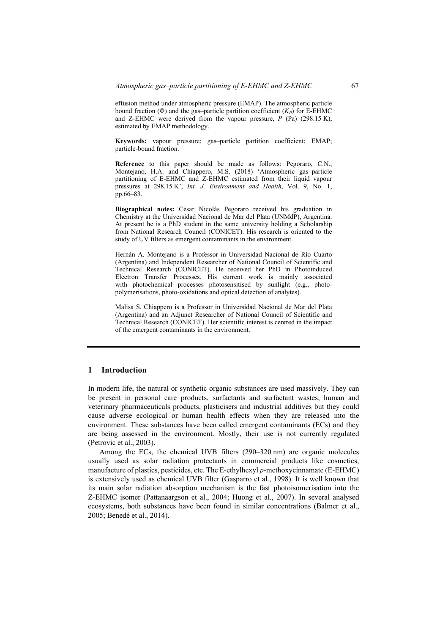effusion method under atmospheric pressure (EMAP). The atmospheric particle bound fraction ( $\Phi$ ) and the gas–particle partition coefficient  $(K_P)$  for E-EHMC and Z-EHMC were derived from the vapour pressure, *P* (Pa) (298.15 K), estimated by EMAP methodology.

**Keywords:** vapour pressure; gas–particle partition coefficient; EMAP; particle-bound fraction.

**Reference** to this paper should be made as follows: Pegoraro, C.N., Montejano, H.A. and Chiappero, M.S. (2018) 'Atmospheric gas–particle partitioning of E-EHMC and Z-EHMC estimated from their liquid vapour pressures at 298.15 K', *Int. J. Environment and Health*, Vol. 9, No. 1, pp.66–83.

**Biographical notes:** César Nicolás Pegoraro received his graduation in Chemistry at the Universidad Nacional de Mar del Plata (UNMdP), Argentina. At present he is a PhD student in the same university holding a Scholarship from National Research Council (CONICET). His research is oriented to the study of UV filters as emergent contaminants in the environment.

Hernán A. Montejano is a Professor in Universidad Nacional de Río Cuarto (Argentina) and Independent Researcher of National Council of Scientific and Technical Research (CONICET). He received her PhD in Photoinduced Electron Transfer Processes. His current work is mainly associated with photochemical processes photosensitised by sunlight (e.g., photopolymerisations, photo-oxidations and optical detection of analytes).

Malisa S. Chiappero is a Professor in Universidad Nacional de Mar del Plata (Argentina) and an Adjunct Researcher of National Council of Scientific and Technical Research (CONICET). Her scientific interest is centred in the impact of the emergent contaminants in the environment.

## **1 Introduction**

In modern life, the natural or synthetic organic substances are used massively. They can be present in personal care products, surfactants and surfactant wastes, human and veterinary pharmaceuticals products, plasticisers and industrial additives but they could cause adverse ecological or human health effects when they are released into the environment. These substances have been called emergent contaminants (ECs) and they are being assessed in the environment. Mostly, their use is not currently regulated (Petrovic et al., 2003).

Among the ECs, the chemical UVB filters (290–320 nm) are organic molecules usually used as solar radiation protectants in commercial products like cosmetics, manufacture of plastics, pesticides, etc. The E-ethylhexyl *p*-methoxycinnamate (E-EHMC) is extensively used as chemical UVB filter (Gasparro et al., 1998). It is well known that its main solar radiation absorption mechanism is the fast photoisomerisation into the Z-EHMC isomer (Pattanaargson et al., 2004; Huong et al., 2007). In several analysed ecosystems, both substances have been found in similar concentrations (Balmer et al., 2005; Benedé et al., 2014).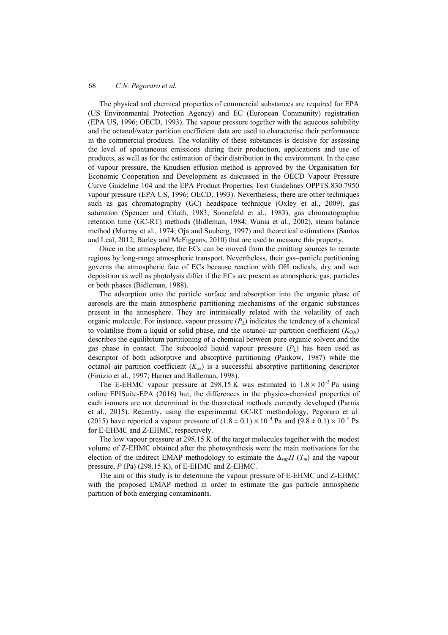The physical and chemical properties of commercial substances are required for EPA (US Environmental Protection Agency) and EC (European Community) registration (EPA US, 1996; OECD, 1993). The vapour pressure together with the aqueous solubility and the octanol/water partition coefficient data are used to characterise their performance in the commercial products. The volatility of these substances is decisive for assessing the level of spontaneous emissions during their production, applications and use of products, as well as for the estimation of their distribution in the environment. In the case of vapour pressure, the Knudsen effusion method is approved by the Organisation for Economic Cooperation and Development as discussed in the OECD Vapour Pressure Curve Guideline 104 and the EPA Product Properties Test Guidelines OPPTS 830.7950 vapour pressure (EPA US, 1996; OECD, 1993). Nevertheless, there are other techniques such as gas chromatography (GC) headspace technique (Oxley et al., 2009), gas saturation (Spencer and Cilath, 1983; Sonnefeld et al., 1983), gas chromatographic retention time (GC-RT) methods (Bidleman, 1984; Wania et al., 2002), steam balance method (Murray et al., 1974; Oja and Suuberg, 1997) and theoretical estimations (Santos and Leal, 2012; Barley and McFiggans, 2010) that are used to measure this property.

Once in the atmosphere, the ECs can be moved from the emitting sources to remote regions by long-range atmospheric transport. Nevertheless, their gas–particle partitioning governs the atmospheric fate of ECs because reaction with OH radicals, dry and wet deposition as well as photolysis differ if the ECs are present as atmospheric gas, particles or both phases (Bidleman, 1988).

The adsorption onto the particle surface and absorption into the organic phase of aerosols are the main atmospheric partitioning mechanisms of the organic substances present in the atmosphere. They are intrinsically related with the volatility of each organic molecule. For instance, vapour pressure  $(P_L)$  indicates the tendency of a chemical to volatilise from a liquid or solid phase, and the octanol–air partition coefficient  $(K_{OA})$ describes the equilibrium partitioning of a chemical between pure organic solvent and the gas phase in contact. The subcooled liquid vapour pressure  $(P_L)$  has been used as descriptor of both adsorptive and absorptive partitioning (Pankow, 1987) while the octanol–air partition coefficient (*K*oa) is a successful absorptive partitioning descriptor (Finizio et al., 1997; Harner and Bidleman, 1998).

The E-EHMC vapour pressure at 298.15 K was estimated in  $1.8 \times 10^{-3}$  Pa using online EPISuite-EPA (2016) but, the differences in the physico-chemical properties of each isomers are not determined in the theoretical methods currently developed (Parnis et al., 2015). Recently, using the experimental GC-RT methodology, Pegoraro et al. (2015) have reported a vapour pressure of  $(1.8 \pm 0.1) \times 10^{-4}$  Pa and  $(9.8 \pm 0.1) \times 10^{-4}$  Pa for E-EHMC and Z-EHMC, respectively.

The low vapour pressure at 298.15 K of the target molecules together with the modest volume of Z-EHMC obtained after the photosynthesis were the main motivations for the election of the indirect EMAP methodology to estimate the  $\Delta_{\text{van}}H(T_m)$  and the vapour pressure, *P* (Pa) (298.15 K), of E-EHMC and Z-EHMC.

The aim of this study is to determine the vapour pressure of E-EHMC and Z-EHMC with the proposed EMAP method in order to estimate the gas-particle atmospheric partition of both emerging contaminants.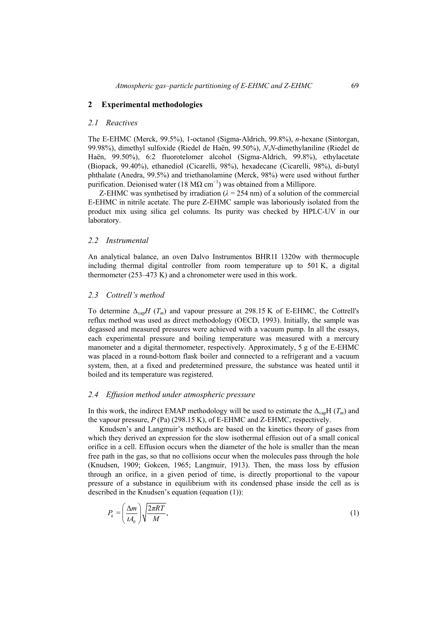## **2 Experimental methodologies**

## *2.1 Reactives*

The E-EHMC (Merck, 99.5%), 1-octanol (Sigma-Aldrich, 99.8%), *n*-hexane (Sintorgan, 99.98%), dimethyl sulfoxide (Riedel de Haën, 99.50%), *N*,*N*-dimethylaniline (Riedel de Haën, 99.50%), 6:2 fluorotelomer alcohol (Sigma-Aldrich, 99.8%), ethylacetate (Biopack, 99.40%), ethanediol (Cicarelli, 98%), hexadecane (Cicarelli, 98%), di-butyl phthalate (Anedra, 99.5%) and triethanolamine (Merck, 98%) were used without further purification. Deionised water (18 MΩ cm<sup>-1</sup>) was obtained from a Millipore.

Z-EHMC was synthetised by irradiation  $(\lambda = 254 \text{ nm})$  of a solution of the commercial E-EHMC in nitrile acetate. The pure Z-EHMC sample was laboriously isolated from the product mix using silica gel columns. Its purity was checked by HPLC-UV in our laboratory.

#### *2.2 Instrumental*

An analytical balance, an oven Dalvo Instrumentos BHR1I 1320w with thermocuple including thermal digital controller from room temperature up to 501 K, a digital thermometer (253–473 K) and a chronometer were used in this work.

## *2.3 Cottrell's method*

To determine ∆vap*H* (*Tm*) and vapour pressure at 298.15 K of E-EHMC, the Cottrell's reflux method was used as direct methodology (OECD, 1993). Initially, the sample was degassed and measured pressures were achieved with a vacuum pump. In all the essays, each experimental pressure and boiling temperature was measured with a mercury manometer and a digital thermometer, respectively. Approximately, 5 g of the E-EHMC was placed in a round-bottom flask boiler and connected to a refrigerant and a vacuum system, then, at a fixed and predetermined pressure, the substance was heated until it boiled and its temperature was registered.

#### *2.4 Effusion method under atmospheric pressure*

In this work, the indirect EMAP methodology will be used to estimate the ∆vapH (*Tm*) and the vapour pressure, *P* (Pa) (298.15 K), of E-EHMC and Z-EHMC, respectively.

Knudsen's and Langmuir's methods are based on the kinetics theory of gases from which they derived an expression for the slow isothermal effusion out of a small conical orifice in a cell. Effusion occurs when the diameter of the hole is smaller than the mean free path in the gas, so that no collisions occur when the molecules pass through the hole (Knudsen, 1909; Gokcen, 1965; Langmuir, 1913). Then, the mass loss by effusion through an orifice, in a given period of time, is directly proportional to the vapour pressure of a substance in equilibrium with its condensed phase inside the cell as is described in the Knudsen's equation (equation (1)):

$$
P_k = \left(\frac{\Delta m}{t A_0}\right) \sqrt{\frac{2\pi RT}{M}},\tag{1}
$$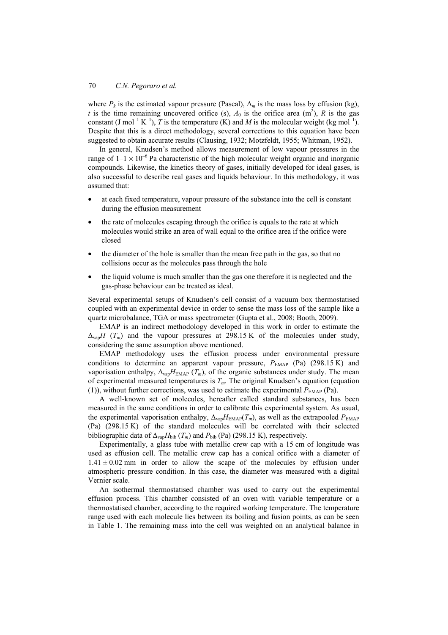where  $P_k$  is the estimated vapour pressure (Pascal),  $\Delta_m$  is the mass loss by effusion (kg), *t* is the time remaining uncovered orifice (s),  $A_0$  is the orifice area (m<sup>2</sup>), *R* is the gas constant (J mol<sup>-1</sup> K<sup>-1</sup>), *T* is the temperature (K) and *M* is the molecular weight (kg mol<sup>-1</sup>). Despite that this is a direct methodology, several corrections to this equation have been suggested to obtain accurate results (Clausing, 1932; Motzfeldt, 1955; Whitman, 1952).

In general, Knudsen's method allows measurement of low vapour pressures in the range of  $1-1 \times 10^{-6}$  Pa characteristic of the high molecular weight organic and inorganic compounds. Likewise, the kinetics theory of gases, initially developed for ideal gases, is also successful to describe real gases and liquids behaviour. In this methodology, it was assumed that:

- at each fixed temperature, vapour pressure of the substance into the cell is constant during the effusion measurement
- the rate of molecules escaping through the orifice is equals to the rate at which molecules would strike an area of wall equal to the orifice area if the orifice were closed
- the diameter of the hole is smaller than the mean free path in the gas, so that no collisions occur as the molecules pass through the hole
- the liquid volume is much smaller than the gas one therefore it is neglected and the gas-phase behaviour can be treated as ideal.

Several experimental setups of Knudsen's cell consist of a vacuum box thermostatised coupled with an experimental device in order to sense the mass loss of the sample like a quartz microbalance, TGA or mass spectrometer (Gupta et al., 2008; Booth, 2009).

EMAP is an indirect methodology developed in this work in order to estimate the  $\Delta_{\text{van}}H(T_m)$  and the vapour pressures at 298.15 K of the molecules under study, considering the same assumption above mentioned.

EMAP methodology uses the effusion process under environmental pressure conditions to determine an apparent vapour pressure,  $P_{\text{EMAP}}$  (Pa) (298.15 K) and vaporisation enthalpy,  $\Delta_{\text{vap}}H_{\text{EMAP}}(T_m)$ , of the organic substances under study. The mean of experimental measured temperatures is *Tm*. The original Knudsen's equation (equation (1)), without further corrections, was used to estimate the experimental  $P_{\text{EMAP}}$  (Pa).

A well-known set of molecules, hereafter called standard substances, has been measured in the same conditions in order to calibrate this experimental system. As usual, the experimental vaporisation enthalpy,  $\Delta_{\rm vap}H_{\rm EMAP}(T_m)$ , as well as the extrapooled  $P_{\rm EMAP}$ (Pa) (298.15 K) of the standard molecules will be correlated with their selected bibliographic data of  $\Delta_{\text{van}}H_{\text{bib}}(T_m)$  and  $P_{\text{bib}}(Pa)$  (298.15 K), respectively.

Experimentally, a glass tube with metallic crew cap with a 15 cm of longitude was used as effusion cell. The metallic crew cap has a conical orifice with a diameter of  $1.41 \pm 0.02$  mm in order to allow the scape of the molecules by effusion under atmospheric pressure condition. In this case, the diameter was measured with a digital Vernier scale.

An isothermal thermostatised chamber was used to carry out the experimental effusion process. This chamber consisted of an oven with variable temperature or a thermostatised chamber, according to the required working temperature. The temperature range used with each molecule lies between its boiling and fusion points, as can be seen in Table 1. The remaining mass into the cell was weighted on an analytical balance in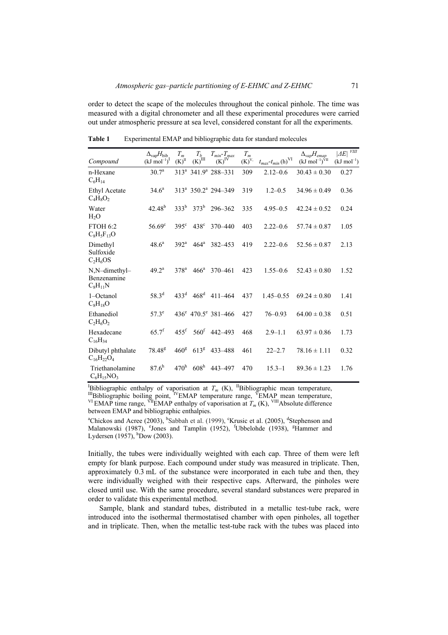order to detect the scape of the molecules throughout the conical pinhole. The time was measured with a digital chronometer and all these experimental procedures were carried out under atmospheric pressure at sea level, considered constant for all the experiments.

|                                              | $\Delta_{\rm vap}H_{\rm bib}$ | $T_m$                                   | $T_b$                | $T_{min} - T_{max}$                         | $T_m$                 |                                                             | $\Delta_{vap}H_{emap}$               | $ \varDelta E $ $^{\overline{\textit{VIII}}}$ |
|----------------------------------------------|-------------------------------|-----------------------------------------|----------------------|---------------------------------------------|-----------------------|-------------------------------------------------------------|--------------------------------------|-----------------------------------------------|
| Compound                                     | $(kJ \text{ mol}^{-1})^I$     | $\left(\textrm{K}\right)^{\textrm{II}}$ | $(K)$ <sup>III</sup> | $(K)$ <sup>IV</sup>                         | $\left(K\right)^{V,}$ | $t_{max}\text{-}t_{min}\left(\mathbf{h}\right)^{\text{VI}}$ | $(kJ \text{ mol}^{-1})^{\text{VII}}$ | $(kJ \mod^{-1})$                              |
| n-Hexane<br>$C_6H_{14}$                      | $30.7^{\rm a}$                |                                         |                      | 313 <sup>ª</sup> 341.9 <sup>ª</sup> 288-331 | 309                   | $2.12 - 0.6$                                                | $30.43 \pm 0.30$                     | 0.27                                          |
| <b>Ethyl Acetate</b><br>$C_4H_8O_2$          | $34.6^{\circ}$                |                                         |                      | $313^a$ 350.2 <sup>a</sup> 294–349          | 319                   | $1.2 - 0.5$                                                 | $34.96 \pm 0.49$                     | 0.36                                          |
| Water<br>H <sub>2</sub> O                    | $42.48^{b}$                   |                                         |                      | $333^b$ $373^b$ 296-362                     | 335                   | $4.95 - 0.5$                                                | $42.24 \pm 0.52$                     | 0.24                                          |
| <b>FTOH 6:2</b><br>$C_8H_5F_{13}O$           | $56.69^{\circ}$               | $395^{\circ}$                           | $438^\circ$          | 370-440                                     | 403                   | $2.22 - 0.6$                                                | $57.74 \pm 0.87$                     | 1.05                                          |
| Dimethyl<br>Sulfoxide<br>$C_2H_6OS$          | $48.6^a$                      | $392^{\mathrm{a}}$                      | $464^{\mathrm{a}}$   | 382-453                                     | 419                   | $2.22 - 0.6$                                                | $52.56 \pm 0.87$                     | 2.13                                          |
| N,N-dimethyl-<br>Benzenamine<br>$C_8H_{11}N$ | 49 $2^a$                      | 378 <sup>a</sup>                        | $466^{\circ}$        | 370-461                                     | 423                   | $1.55 - 0.6$                                                | $52.43 \pm 0.80$                     | 1.52                                          |
| 1-Octanol<br>$C_8H_{18}O$                    | $58.3^{d}$                    | $433^{\rm d}$                           | 468 <sup>d</sup>     | $411 - 464$                                 | 437                   | $1.45 - 0.55$                                               | $69.24 \pm 0.80$                     | 1.41                                          |
| Ethanediol<br>$C_2H_6O_2$                    | $57.3^e$                      |                                         |                      | $436^e$ $470.5^e$ $381-466$                 | 427                   | $76 - 0.93$                                                 | $64.00 \pm 0.38$                     | 0.51                                          |
| Hexadecane<br>$C_{16}H_{34}$                 | $65.7^f$                      | $455$ <sup>f</sup>                      |                      | $560^{\mathrm{f}}$ 442-493                  | 468                   | $2.9 - 1.1$                                                 | $63.97 \pm 0.86$                     | 1.73                                          |
| Dibutyl phthalate<br>$C_{16}H_{22}O_4$       | 78.48 <sup>g</sup>            | 460 <sup>g</sup>                        | $613^8$              | 433-488                                     | 461                   | $22 - 2.7$                                                  | $78.16 \pm 1.11$                     | 0.32                                          |
| Triethanolamine<br>$C_6H_{15}NO_3$           | 87.6 <sup>h</sup>             | 470 <sup>h</sup>                        | 608 <sup>h</sup>     | 443-497                                     | 470                   | $15.3 - 1$                                                  | $89.36 \pm 1.23$                     | 1.76                                          |

Table 1 Experimental EMAP and bibliographic data for standard molecules

<sup>I</sup>Bibliographic enthalpy of vaporisation at  $T_m$  (K), <sup>II</sup>Bibliographic mean temperature, <sup>III</sup>Bibliographic entitally of vacuum at  $\pi$  (x),  $\frac{1}{2}$  EMAP mean temperature,<br><sup>VI</sup>EMAP time range, <sup>VI</sup>EMAP enthalpy of vaporisation at  $T_m$  (K), <sup>VIII</sup>Absolute difference between EMAP and bibliographic enthalpies.

<sup>a</sup>Chickos and Acree (2003), <sup>b</sup>Sabbah et al. (1999), <sup>c</sup>Krusic et al. (2005), <sup>d</sup>Stephenson and Malanowski (1987), <sup>e</sup>Jones and Tamplin (1952), <sup>f</sup>Ubbelohde (1938), <sup>g</sup>Hammer and Lydersen (1957),  $h_{\text{Down}}$  (2003).

Initially, the tubes were individually weighted with each cap. Three of them were left empty for blank purpose. Each compound under study was measured in triplicate. Then, approximately 0.3 mL of the substance were incorporated in each tube and then, they were individually weighed with their respective caps. Afterward, the pinholes were closed until use. With the same procedure, several standard substances were prepared in order to validate this experimental method.

Sample, blank and standard tubes, distributed in a metallic test-tube rack, were introduced into the isothermal thermostatised chamber with open pinholes, all together and in triplicate. Then, when the metallic test-tube rack with the tubes was placed into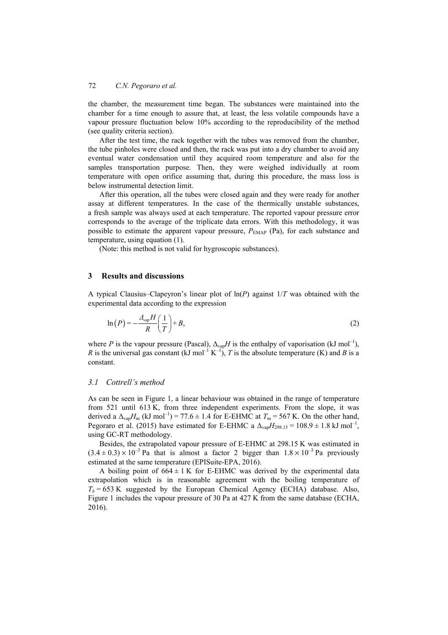the chamber, the measurement time began. The substances were maintained into the chamber for a time enough to assure that, at least, the less volatile compounds have a vapour pressure fluctuation below 10% according to the reproducibility of the method (see quality criteria section).

After the test time, the rack together with the tubes was removed from the chamber, the tube pinholes were closed and then, the rack was put into a dry chamber to avoid any eventual water condensation until they acquired room temperature and also for the samples transportation purpose. Then, they were weighed individually at room temperature with open orifice assuming that, during this procedure, the mass loss is below instrumental detection limit.

After this operation, all the tubes were closed again and they were ready for another assay at different temperatures. In the case of the thermically unstable substances, a fresh sample was always used at each temperature. The reported vapour pressure error corresponds to the average of the triplicate data errors. With this methodology, it was possible to estimate the apparent vapour pressure,  $P_{\text{EMAP}}$  (Pa), for each substance and temperature, using equation (1).

(Note: this method is not valid for hygroscopic substances).

## **3 Results and discussions**

A typical Clausius–Clapeyron's linear plot of ln(*P*) against 1/*T* was obtained with the experimental data according to the expression

$$
\ln(P) = -\frac{\Delta_{\rm vap}H}{R} \left(\frac{1}{T}\right) + B,\tag{2}
$$

where *P* is the vapour pressure (Pascal),  $\Delta_{\text{van}}H$  is the enthalpy of vaporisation (kJ mol<sup>-1</sup>), *R* is the universal gas constant (kJ mol<sup>-1</sup> K<sup>-1</sup>), *T* is the absolute temperature (K) and *B* is a constant.

### *3.1 Cottrell's method*

As can be seen in Figure 1, a linear behaviour was obtained in the range of temperature from 521 until 613 K, from three independent experiments. From the slope, it was derived a  $\Delta_{\text{van}}H_{\text{m}}$  (kJ mol<sup>-1</sup>) = 77.6 ± 1.4 for E-EHMC at  $T_{\text{m}}$  = 567 K. On the other hand, Pegoraro et al. (2015) have estimated for E-EHMC a  $\Delta_{\text{van}}H_{298.15} = 108.9 \pm 1.8 \text{ kJ mol}^{-1}$ , using GC-RT methodology.

Besides, the extrapolated vapour pressure of E-EHMC at 298.15 K was estimated in  $(3.4 \pm 0.3) \times 10^{-3}$  Pa that is almost a factor 2 bigger than  $1.8 \times 10^{-3}$  Pa previously estimated at the same temperature (EPISuite-EPA, 2016).

A boiling point of  $664 \pm 1$  K for E-EHMC was derived by the experimental data extrapolation which is in reasonable agreement with the boiling temperature of  $T_b$  = 653 K suggested by the European Chemical Agency (ECHA) database. Also, Figure 1 includes the vapour pressure of 30 Pa at 427 K from the same database (ECHA, 2016).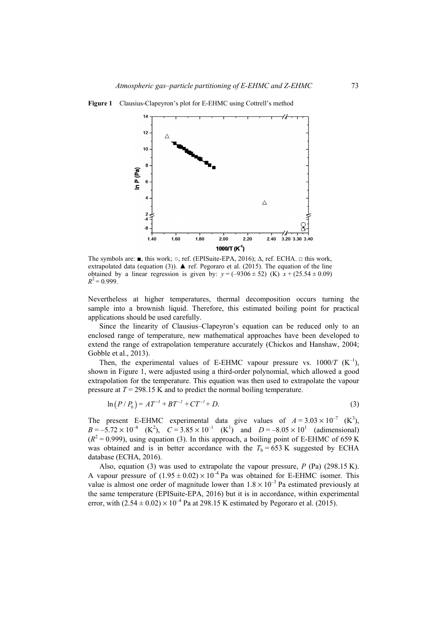

**Figure 1** Clausius-Clapeyron's plot for E-EHMC using Cottrell's method

The symbols are: ■, this work; ○, ref. (EPISuite-EPA, 2016); ∆, ref. ECHA. □ this work, extrapolated data (equation (3)).  $\blacktriangle$  ref. Pegoraro et al. (2015). The equation of the line obtained by a linear regression is given by:  $y = (-9306 \pm 52)$  (K)  $x + (25.54 \pm 0.09)$  $R^2$  = 0.999.

Nevertheless at higher temperatures, thermal decomposition occurs turning the sample into a brownish liquid. Therefore, this estimated boiling point for practical applications should be used carefully.

Since the linearity of Clausius–Clapeyron's equation can be reduced only to an enclosed range of temperature, new mathematical approaches have been developed to extend the range of extrapolation temperature accurately (Chickos and Hanshaw, 2004; Gobble et al., 2013).

Then, the experimental values of E-EHMC vapour pressure vs.  $1000/T$  (K<sup>-1</sup>), shown in Figure 1, were adjusted using a third-order polynomial, which allowed a good extrapolation for the temperature. This equation was then used to extrapolate the vapour pressure at *T* = 298.15 K and to predict the normal boiling temperature.

$$
\ln(P/P_0) = AT^{-3} + BT^{-2} + CT^{-1} + D. \tag{3}
$$

The present E-EHMC experimental data give values of  $A = 3.03 \times 10^{-7}$  (K<sup>3</sup>),  $B = -5.72 \times 10^{-4}$  (K<sup>2</sup>),  $C = 3.85 \times 10^{-1}$  (K<sup>1</sup>) and  $D = -8.05 \times 10^{1}$  (adimensional)  $(R<sup>2</sup> = 0.999)$ , using equation (3). In this approach, a boiling point of E-EHMC of 659 K was obtained and is in better accordance with the  $T<sub>b</sub> = 653$  K suggested by ECHA database (ECHA, 2016).

Also, equation (3) was used to extrapolate the vapour pressure, *P* (Pa) (298.15 K). A vapour pressure of  $(1.95 \pm 0.02) \times 10^{-4}$  Pa was obtained for E-EHMC isomer. This value is almost one order of magnitude lower than  $1.8 \times 10^{-3}$  Pa estimated previously at the same temperature (EPISuite-EPA, 2016) but it is in accordance, within experimental error, with  $(2.54 \pm 0.02) \times 10^{-4}$  Pa at 298.15 K estimated by Pegoraro et al. (2015).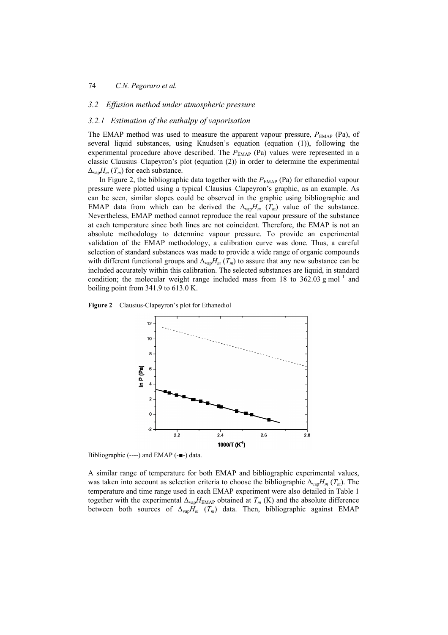#### *3.2 Effusion method under atmospheric pressure*

### *3.2.1 Estimation of the enthalpy of vaporisation*

The EMAP method was used to measure the apparent vapour pressure,  $P_{\text{EMAP}}$  (Pa), of several liquid substances, using Knudsen's equation (equation (1)), following the experimental procedure above described. The  $P_{\text{EMAP}}$  (Pa) values were represented in a classic Clausius–Clapeyron's plot (equation (2)) in order to determine the experimental  $\Delta_{\text{van}}H_m(T_m)$  for each substance.

In Figure 2, the bibliographic data together with the  $P_{\text{EMAP}}$  (Pa) for ethanediol vapour pressure were plotted using a typical Clausius–Clapeyron's graphic, as an example. As can be seen, similar slopes could be observed in the graphic using bibliographic and EMAP data from which can be derived the  $\Delta_{\text{van}}H_m$  (*T<sub>m</sub>*) value of the substance. Nevertheless, EMAP method cannot reproduce the real vapour pressure of the substance at each temperature since both lines are not coincident. Therefore, the EMAP is not an absolute methodology to determine vapour pressure. To provide an experimental validation of the EMAP methodology, a calibration curve was done. Thus, a careful selection of standard substances was made to provide a wide range of organic compounds with different functional groups and  $\Delta_{\text{vap}}H_m(T_m)$  to assure that any new substance can be included accurately within this calibration. The selected substances are liquid, in standard condition; the molecular weight range included mass from 18 to 362.03  $g$  mol<sup>-1</sup> and boiling point from 341.9 to 613.0 K.





Bibliographic (----) and EMAP (-■-) data.

A similar range of temperature for both EMAP and bibliographic experimental values, was taken into account as selection criteria to choose the bibliographic ∆vap*Hm* (*Tm*). The temperature and time range used in each EMAP experiment were also detailed in Table 1 together with the experimental  $\Delta_{\text{vap}}H_{\text{EMAP}}$  obtained at  $T_m$  (K) and the absolute difference between both sources of ∆vap*Hm* (*Tm*) data. Then, bibliographic against EMAP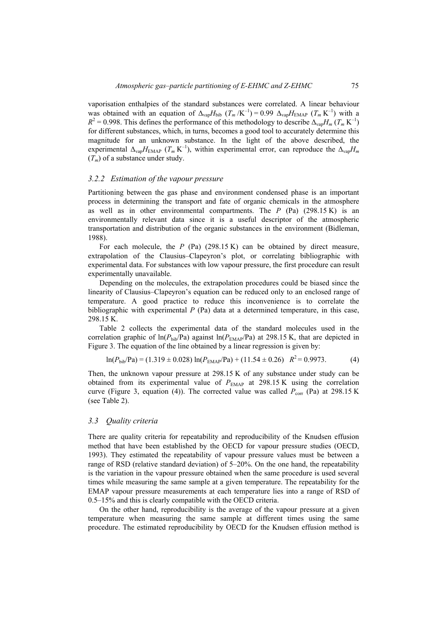vaporisation enthalpies of the standard substances were correlated. A linear behaviour was obtained with an equation of  $\Delta_{\text{vap}}H_{\text{bib}}$  (*T<sub>m</sub>* /K<sup>-1</sup>) = 0.99  $\Delta_{\text{vap}}H_{\text{EMAP}}$  (*T<sub>m</sub>* K<sup>-1</sup>) with a  $R^2 = 0.998$ . This defines the performance of this methodology to describe  $\Delta_{\text{vap}}H_m$  (*T<sub>m</sub>* K<sup>-1</sup>) for different substances, which, in turns, becomes a good tool to accurately determine this magnitude for an unknown substance. In the light of the above described, the experimental  $\Delta_{\text{van}}H_{\text{EMAP}}$  ( $T_m$ K<sup>-1</sup>), within experimental error, can reproduce the  $\Delta_{\text{van}}H_m$  $(T_m)$  of a substance under study.

#### *3.2.2 Estimation of the vapour pressure*

Partitioning between the gas phase and environment condensed phase is an important process in determining the transport and fate of organic chemicals in the atmosphere as well as in other environmental compartments. The *P* (Pa) (298.15 K) is an environmentally relevant data since it is a useful descriptor of the atmospheric transportation and distribution of the organic substances in the environment (Bidleman, 1988).

For each molecule, the *P* (Pa) (298.15 K) can be obtained by direct measure, extrapolation of the Clausius–Clapeyron's plot, or correlating bibliographic with experimental data. For substances with low vapour pressure, the first procedure can result experimentally unavailable.

Depending on the molecules, the extrapolation procedures could be biased since the linearity of Clausius–Clapeyron's equation can be reduced only to an enclosed range of temperature. A good practice to reduce this inconvenience is to correlate the bibliographic with experimental *P* (Pa) data at a determined temperature, in this case, 298.15 K.

Table 2 collects the experimental data of the standard molecules used in the correlation graphic of  $\ln(P_{\text{bib}}/P_a)$  against  $\ln(P_{\text{EMAP}}/P_a)$  at 298.15 K, that are depicted in Figure 3. The equation of the line obtained by a linear regression is given by:

$$
\ln(P_{\text{bib}}/Pa) = (1.319 \pm 0.028) \ln(P_{\text{EMAP}}/Pa) + (11.54 \pm 0.26) R^2 = 0.9973. \tag{4}
$$

Then, the unknown vapour pressure at 298.15 K of any substance under study can be obtained from its experimental value of  $P_{\text{EMAP}}$  at 298.15 K using the correlation curve (Figure 3, equation (4)). The corrected value was called  $P_{\text{corr}}$  (Pa) at 298.15 K (see Table 2).

#### *3.3 Quality criteria*

There are quality criteria for repeatability and reproducibility of the Knudsen effusion method that have been established by the OECD for vapour pressure studies (OECD, 1993). They estimated the repeatability of vapour pressure values must be between a range of RSD (relative standard deviation) of 5–20%. On the one hand, the repeatability is the variation in the vapour pressure obtained when the same procedure is used several times while measuring the same sample at a given temperature. The repeatability for the EMAP vapour pressure measurements at each temperature lies into a range of RSD of 0.5–15% and this is clearly compatible with the OECD criteria.

On the other hand, reproducibility is the average of the vapour pressure at a given temperature when measuring the same sample at different times using the same procedure. The estimated reproducibility by OECD for the Knudsen effusion method is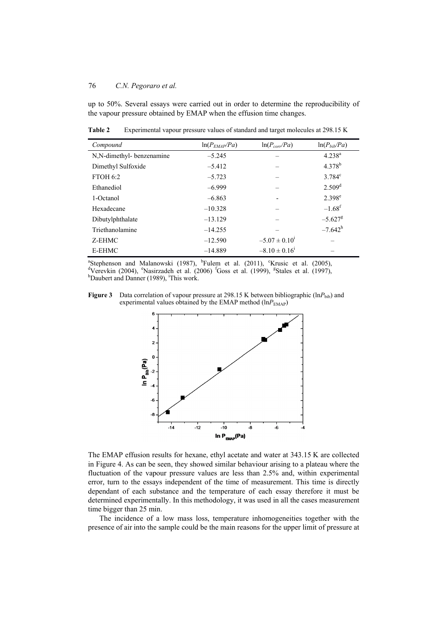up to 50%. Several essays were carried out in order to determine the reproducibility of the vapour pressure obtained by EMAP when the effusion time changes.

| Compound                 | $ln(P_{EMAP}/Pa)$ | $ln(P_{corr}/Pa)$             | $ln(P_{bi}/Pa)$       |
|--------------------------|-------------------|-------------------------------|-----------------------|
| N,N-dimethyl-benzenamine | $-5.245$          |                               | $4.238^{a}$           |
| Dimethyl Sulfoxide       | $-5.412$          |                               | $4.378^{b}$           |
| <b>FTOH 6:2</b>          | $-5.723$          |                               | $3.784^c$             |
| Ethanediol               | $-6.999$          |                               | 2.509 <sup>d</sup>    |
| 1-Octanol                | $-6.863$          |                               | $2.398^e$             |
| Hexadecane               | $-10.328$         |                               | $-1.68$ <sup>f</sup>  |
| Dibutylphthalate         | $-13.129$         |                               | $-5.627$ <sup>g</sup> |
| Triethanolamine          | $-14.255$         |                               | $-7.642^h$            |
| Z-EHMC                   | $-12.590$         | $-5.07 \pm 0.10^{\text{i}}$   |                       |
| E-EHMC                   | $-14.889$         | $-8.10 \pm 0.16$ <sup>1</sup> |                       |

**Table 2** Experimental vapour pressure values of standard and target molecules at 298.15 K

<sup>a</sup>Stephenson and Malanowski (1987), <sup>b</sup>Fulem et al. (2011), <sup>c</sup>Krusic et al. (2005), <sup>a</sup>Verevkin (2004), <sup>e</sup>Nasirzadeh et al. (2006) <sup>f</sup>Goss et al. (1999), <sup>g</sup>Stales et al. (1997), <sup>h</sup>Doubert and Dannar (1090) <sup>i</sup>This wo Daubert and Danner (1989), <sup>i</sup>This work.

Figure 3 Data correlation of vapour pressure at 298.15 K between bibliographic (lnP<sub>bib</sub>) and experimental values obtained by the EMAP method  $(lnP<sub>EMAP</sub>)$ 



The EMAP effusion results for hexane, ethyl acetate and water at 343.15 K are collected in Figure 4. As can be seen, they showed similar behaviour arising to a plateau where the fluctuation of the vapour pressure values are less than 2.5% and, within experimental error, turn to the essays independent of the time of measurement. This time is directly dependant of each substance and the temperature of each essay therefore it must be determined experimentally. In this methodology, it was used in all the cases measurement time bigger than 25 min.

The incidence of a low mass loss, temperature inhomogeneities together with the presence of air into the sample could be the main reasons for the upper limit of pressure at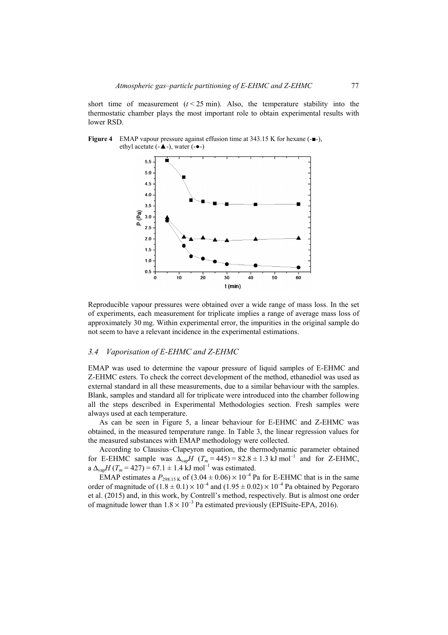short time of measurement  $(t < 25$  min). Also, the temperature stability into the thermostatic chamber plays the most important role to obtain experimental results with lower RSD.

**Figure 4** EMAP vapour pressure against effusion time at 343.15 K for hexane (-■-), ethyl acetate (-▲-), water (-●-)



Reproducible vapour pressures were obtained over a wide range of mass loss. In the set of experiments, each measurement for triplicate implies a range of average mass loss of approximately 30 mg. Within experimental error, the impurities in the original sample do not seem to have a relevant incidence in the experimental estimations.

## *3.4 Vaporisation of E-EHMC and Z-EHMC*

EMAP was used to determine the vapour pressure of liquid samples of E-EHMC and Z-EHMC esters. To check the correct development of the method, ethanediol was used as external standard in all these measurements, due to a similar behaviour with the samples. Blank, samples and standard all for triplicate were introduced into the chamber following all the steps described in Experimental Methodologies section. Fresh samples were always used at each temperature.

As can be seen in Figure 5, a linear behaviour for E-EHMC and Z-EHMC was obtained, in the measured temperature range. In Table 3, the linear regression values for the measured substances with EMAP methodology were collected.

According to Clausius–Clapeyron equation, the thermodynamic parameter obtained for E-EHMC sample was  $\Delta_{\text{van}}H(T_m = 445) = 82.8 \pm 1.3 \text{ kJ} \text{ mol}^{-1}$  and for Z-EHMC, a  $\Delta_{\text{vap}}H(T_m = 427) = 67.1 \pm 1.4 \text{ kJ mol}^{-1}$  was estimated.

EMAP estimates a  $P_{298.15 \text{ K}}$  of  $(3.04 \pm 0.06) \times 10^{-4}$  Pa for E-EHMC that is in the same order of magnitude of  $(1.8 \pm 0.1) \times 10^{-4}$  and  $(1.95 \pm 0.02) \times 10^{-4}$  Pa obtained by Pegoraro et al. (2015) and, in this work, by Contrell's method, respectively. But is almost one order of magnitude lower than  $1.8 \times 10^{-3}$  Pa estimated previously (EPISuite-EPA, 2016).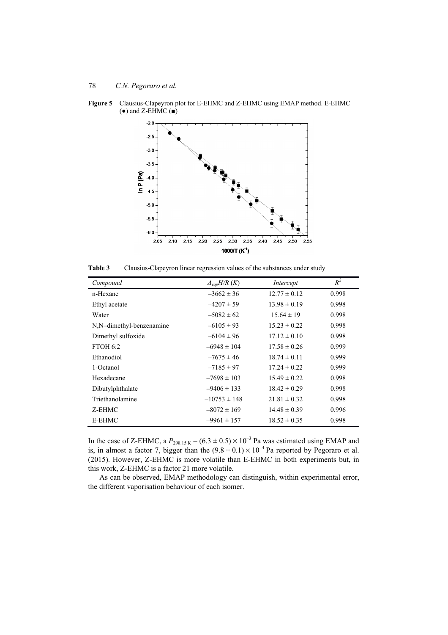

**Figure 5** Clausius-Clapeyron plot for E-EHMC and Z-EHMC using EMAP method. E-EHMC  $\overrightarrow{=}$  and Z-EHMC  $\overrightarrow{=}$ 

**Table 3** Clausius-Clapeyron linear regression values of the substances under study

| Compound                 | $\Delta_{vap}H/R(K)$ | Intercept        | $R^2$ |
|--------------------------|----------------------|------------------|-------|
| n-Hexane                 | $-3662 \pm 36$       | $12.77 \pm 0.12$ | 0.998 |
| Ethyl acetate            | $-4207 \pm 59$       | $13.98 \pm 0.19$ | 0.998 |
| Water                    | $-5082 \pm 62$       | $15.64 \pm 19$   | 0.998 |
| N,N-dimethyl-benzenamine | $-6105 \pm 93$       | $15.23 \pm 0.22$ | 0.998 |
| Dimethyl sulfoxide       | $-6104 \pm 96$       | $17.12 \pm 0.10$ | 0.998 |
| <b>FTOH 6:2</b>          | $-6948 \pm 104$      | $17.58 \pm 0.26$ | 0.999 |
| Ethanodiol               | $-7675 \pm 46$       | $18.74 \pm 0.11$ | 0.999 |
| 1-Octanol                | $-7185 \pm 97$       | $17.24 \pm 0.22$ | 0.999 |
| Hexadecane               | $-7698 \pm 103$      | $15.49 \pm 0.22$ | 0.998 |
| Dibutylphthalate         | $-9406 \pm 133$      | $18.42 \pm 0.29$ | 0.998 |
| Triethanolamine          | $-10753 \pm 148$     | $21.81 \pm 0.32$ | 0.998 |
| Z-EHMC                   | $-8072 \pm 169$      | $14.48 \pm 0.39$ | 0.996 |
| E-EHMC                   | $-9961 \pm 157$      | $18.52 \pm 0.35$ | 0.998 |

In the case of Z-EHMC, a  $P_{298.15 \text{ K}} = (6.3 \pm 0.5) \times 10^{-3}$  Pa was estimated using EMAP and is, in almost a factor 7, bigger than the  $(9.8 \pm 0.1) \times 10^{-4}$  Pa reported by Pegoraro et al. (2015). However, Z-EHMC is more volatile than E-EHMC in both experiments but, in this work, Z-EHMC is a factor 21 more volatile.

As can be observed, EMAP methodology can distinguish, within experimental error, the different vaporisation behaviour of each isomer.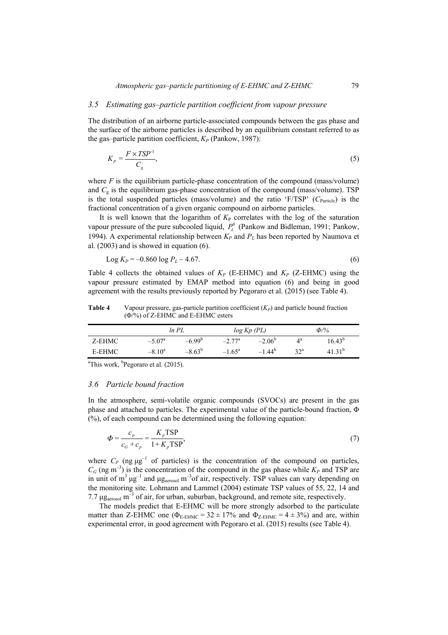## *3.5 Estimating gas–particle partition coefficient from vapour pressure*

The distribution of an airborne particle-associated compounds between the gas phase and the surface of the airborne particles is described by an equilibrium constant referred to as the gas–particle partition coefficient,  $K_P$  (Pankow, 1987):

$$
K_p = \frac{F \times TSP^{-1}}{C_g},\tag{5}
$$

where  $F$  is the equilibrium particle-phase concentration of the compound (mass/volume) and  $C<sub>g</sub>$  is the equilibrium gas-phase concentration of the compound (mass/volume). TSP is the total suspended particles (mass/volume) and the ratio 'F/TSP' (C<sub>Particle</sub>) is the fractional concentration of a given organic compound on airborne particles.

It is well known that the logarithm of  $K_P$  correlates with the log of the saturation vapour pressure of the pure subcooled liquid,  $P_{\perp}^{0}$  (Pankow and Bidleman, 1991; Pankow, 1994). A experimental relationship between  $K_p$  and  $P_L$  has been reported by Naumova et al. (2003) and is showed in equation (6).

$$
Log K_P = -0.860 log P_L - 4.67.
$$
\n(6)

Table 4 collects the obtained values of  $K_P$  (E-EHMC) and  $K_P$  (Z-EHMC) using the vapour pressure estimated by EMAP method into equation (6) and being in good agreement with the results previously reported by Pegoraro et al. (2015) (see Table 4).

**Table 4** Vapour pressure, gas-particle partition coefficient (*KP*) and particle bound fraction (Φ/%) of Z-EHMC and E-EHMC esters

|        |                 | ln PL       |                 | $log Kp$ (PL)   | $\Phi$ /%         |                 |
|--------|-----------------|-------------|-----------------|-----------------|-------------------|-----------------|
| Z-EHMC | $-5.07^{\rm a}$ | $-6.99^{b}$ | $-2.77^{\rm a}$ | $-2.06^{\circ}$ | 4ª                | $16.43^{b}$     |
| E-EHMC | $-8.10^a$       | $-8.63^{b}$ | $-1.65^{\circ}$ | $-1.44^{b}$     | $32^{\mathrm{a}}$ | 31 <sup>b</sup> |

<sup>a</sup>This work, <sup>b</sup>Pegoraro et al.  $(2015)$ .

## *3.6 Particle bound fraction*

In the atmosphere, semi-volatile organic compounds (SVOCs) are present in the gas phase and attached to particles. The experimental value of the particle-bound fraction, Φ (%), of each compound can be determined using the following equation:

$$
\Phi = \frac{c_p}{c_G + c_p} = \frac{K_p \text{TSP}}{1 + K_p \text{TSP}},\tag{7}
$$

where  $C_P$  (ng  $\mu$ g<sup>-1</sup> of particles) is the concentration of the compound on particles,  $C_G$  (ng m<sup>-3</sup>) is the concentration of the compound in the gas phase while  $K_P$  and TSP are in unit of  $m^3 \mu g^{-1}$  and  $\mu g_{\text{aerosol}} m^{-3}$  of air, respectively. TSP values can vary depending on the monitoring site. Lohmann and Lammel (2004) estimate TSP values of 55, 22, 14 and 7.7  $\mu$ g<sub>aerosol</sub> m<sup>-3</sup> of air, for urban, suburban, background, and remote site, respectively.

The models predict that E-EHMC will be more strongly adsorbed to the particulate matter than Z-EHMC one ( $\Phi_{\text{E-EHMC}} = 32 \pm 17\%$  and  $\Phi_{\text{Z-EHMC}} = 4 \pm 3\%$ ) and are, within experimental error, in good agreement with Pegoraro et al. (2015) results (see Table 4).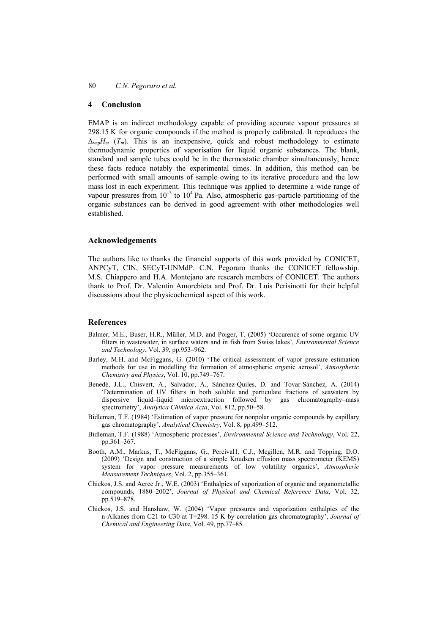#### **4 Conclusion**

EMAP is an indirect methodology capable of providing accurate vapour pressures at 298.15 K for organic compounds if the method is properly calibrated. It reproduces the  $\Delta_{\text{van}}H_m$  (*T<sub>m</sub>*). This is an inexpensive, quick and robust methodology to estimate thermodynamic properties of vaporisation for liquid organic substances. The blank, standard and sample tubes could be in the thermostatic chamber simultaneously, hence these facts reduce notably the experimental times. In addition, this method can be performed with small amounts of sample owing to its iterative procedure and the low mass lost in each experiment. This technique was applied to determine a wide range of vapour pressures from  $10^{-3}$  to  $10^{4}$  Pa. Also, atmospheric gas-particle partitioning of the organic substances can be derived in good agreement with other methodologies well established.

#### **Acknowledgements**

The authors like to thanks the financial supports of this work provided by CONICET, ANPCyT, CIN, SECyT-UNMdP. C.N. Pegoraro thanks the CONICET fellowship. M.S. Chiappero and H.A. Montejano are research members of CONICET. The authors thank to Prof. Dr. Valentín Amorebieta and Prof. Dr. Luis Perisinotti for their helpful discussions about the physicochemical aspect of this work.

#### **References**

- Balmer, M.E., Buser, H.R., Müller, M.D. and Poiger, T. (2005) 'Occurence of some organic UV filters in wastewater, in surface waters and in fish from Swiss lakes', *Environmental Science and Technology*, Vol. 39, pp.953–962.
- Barley, M.H. and McFiggans, G. (2010) 'The critical assessment of vapor pressure estimation methods for use in modelling the formation of atmospheric organic aerosol', *Atmospheric Chemistry and Physics*, Vol. 10, pp.749–767.
- Benedé, J.L., Chisvert, A., Salvador, A., Sánchez-Quiles, D. and Tovar-Sánchez, A. (2014) 'Determination of UV filters in both soluble and particulate fractions of seawaters by dispersive liquid–liquid microextraction followed by gas chromatography–mass spectrometry', *Analytica Chimica Acta*, Vol. 812, pp.50–58.
- Bidleman, T.F. (1984) 'Estimation of vapor pressure for nonpolar organic compounds by capillary gas chromatography', *Analytical Chemistry*, Vol. 8, pp.499–512.
- Bidleman, T.F. (1988) 'Atmospheric processes', *Environmental Science and Technology*, Vol. 22, pp.361–367.
- Booth, A.M., Markus, T., McFiggans, G., Percival1, C.J., Mcgillen, M.R. and Topping, D.O. (2009) 'Design and construction of a simple Knudsen effusion mass spectrometer (KEMS) system for vapor pressure measurements of low volatility organics', *Atmospheric Measurement Techniques*, Vol. 2, pp.355–361.
- Chickos, J.S. and Acree Jr., W.E. (2003) 'Enthalpies of vaporization of organic and organometallic compounds, 1880–2002', *Journal of Physical and Chemical Reference Data*, Vol. 32, pp.519–878.
- Chickos, J.S. and Hanshaw, W. (2004) 'Vapor pressures and vaporization enthalpies of the n-Alkanes from C21 to C30 at T=298. 15 K by correlation gas chromatography', *Journal of Chemical and Engineering Data*, Vol. 49, pp.77–85.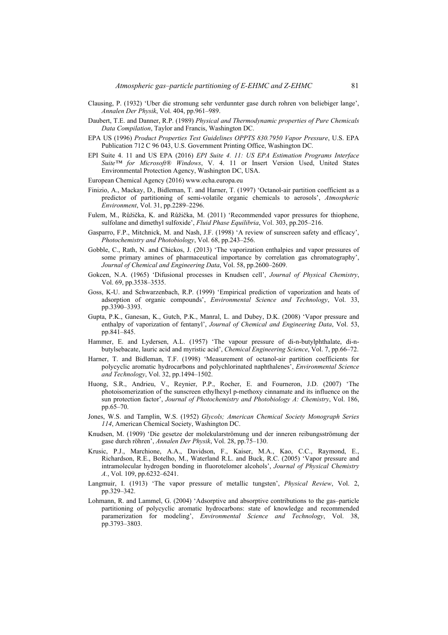- Clausing, P. (1932) 'Uber die stromung sehr verdunnter gase durch rohren von beliebiger lange', *Annalen Der Physik*, Vol. 404, pp.961–989.
- Daubert, T.E. and Danner, R.P. (1989) *Physical and Thermodynamic properties of Pure Chemicals Data Compilation*, Taylor and Francis, Washington DC.
- EPA US (1996) *Product Properties Test Guidelines OPPTS 830.7950 Vapor Pressure*, U.S. EPA Publication 712 C 96 043, U.S. Government Printing Office, Washington DC.
- EPI Suite 4. 11 and US EPA (2016) *EPI Suite 4. 11: US EPA Estimation Programs Interface Suite™ for Microsoft® Windows*, V. 4. 11 or Insert Version Used, United States Environmental Protection Agency, Washington DC, USA.
- European Chemical Agency (2016) www.echa.europa.eu
- Finizio, A., Mackay, D., Bidleman, T. and Harner, T. (1997) 'Octanol-air partition coefficient as a predictor of partitioning of semi-volatile organic chemicals to aerosols', *Atmospheric Environment*, Vol. 31, pp.2289–2296.
- Fulem, M., Růžička, K. and Růžička, M. (2011) 'Recommended vapor pressures for thiophene, sulfolane and dimethyl sulfoxide', *Fluid Phase Equilibria*, Vol. 303, pp.205–216.
- Gasparro, F.P., Mitchnick, M. and Nash, J.F. (1998) 'A review of sunscreen safety and efficacy', *Photochemistry and Photobiology*, Vol. 68, pp.243–256.
- Gobble, C., Rath, N. and Chickos, J. (2013) 'The vaporization enthalpies and vapor pressures of some primary amines of pharmaceutical importance by correlation gas chromatography', *Journal of Chemical and Engineering Data*, Vol. 58, pp.2600–2609.
- Gokcen, N.A. (1965) 'Difusional processes in Knudsen cell', *Journal of Physical Chemistry*, Vol. 69, pp.3538–3535.
- Goss, K-U. and Schwarzenbach, R.P. (1999) 'Empirical prediction of vaporization and heats of adsorption of organic compounds', *Environmental Science and Technology*, Vol. 33, pp.3390–3393.
- Gupta, P.K., Ganesan, K., Gutch, P.K., Manral, L. and Dubey, D.K. (2008) 'Vapor pressure and enthalpy of vaporization of fentanyl', *Journal of Chemical and Engineering Data*, Vol. 53, pp.841–845.
- Hammer, E. and Lydersen, A.L. (1957) 'The vapour pressure of di-n-butylphthalate, di-nbutylsebacate, lauric acid and myristic acid', *Chemical Engineering Science*, Vol. 7, pp.66–72.
- Harner, T. and Bidleman, T.F. (1998) 'Measurement of octanol-air partition coefficients for polycyclic aromatic hydrocarbons and polychlorinated naphthalenes', *Environmental Science and Technology*, Vol. 32, pp.1494–1502.
- Huong, S.R., Andrieu, V., Reynier, P.P., Rocher, E. and Fourneron, J.D. (2007) 'The photoisomerization of the sunscreen ethylhexyl p-methoxy cinnamate and its influence on the sun protection factor', *Journal of Photochemistry and Photobiology A: Chemistry*, Vol. 186, pp.65–70.
- Jones, W.S. and Tamplin, W.S. (1952) *Glycols; American Chemical Society Monograph Series 114*, American Chemical Society, Washington DC.
- Knudsen, M. (1909) 'Die gesetze der molekularströmung und der inneren reibungsströmung der gase durch röhren', *Annalen Der Physik*, Vol. 28, pp.75–130.
- Krusic, P.J., Marchione, A.A., Davidson, F., Kaiser, M.A., Kao, C.C., Raymond, E., Richardson, R.E., Botelho, M., Waterland R.L. and Buck, R.C. (2005) 'Vapor pressure and intramolecular hydrogen bonding in fluorotelomer alcohols', *Journal of Physical Chemistry A.*, Vol. 109, pp.6232–6241.
- Langmuir, I. (1913) 'The vapor pressure of metallic tungsten', *Physical Review*, Vol. 2, pp.329–342.
- Lohmann, R. and Lammel, G. (2004) 'Adsorptive and absorptive contributions to the gas–particle partitioning of polycyclic aromatic hydrocarbons: state of knowledge and recommended paramerization for modeling', *Environmental Science and Technology*, Vol. 38, pp.3793–3803.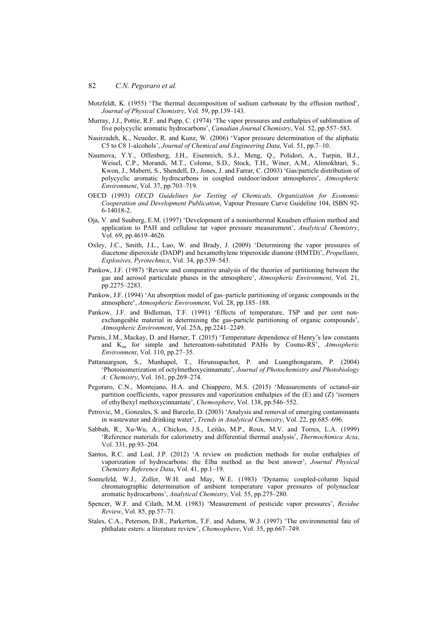- Motzfeldt, K. (1955) 'The thermal decomposition of sodium carbonate by the effusion method', *Journal of Physical Chemistry*, Vol. 59, pp.139–143.
- Murray, J.J., Pottie, R.F. and Pupp, C. (1974) 'The vapor pressures and enthalpies of sublimation of five polycyclic aromatic hydrocarbons', *Canadian Journal Chemistry*, Vol. 52, pp.557–583.
- Nasirzadeh, K., Neueder, R. and Kunz, W. (2006) 'Vapor pressure determination of the aliphatic C5 to C8 1-alcohols', *Journal of Chemical and Engineering Data*, Vol. 51, pp.7–10.
- Naumova, Y.Y., Offenberg, J.H., Eisenreich, S.J., Meng, Q., Polidori, A., Turpin, B.J., Weisel, C.P., Morandi, M.T., Colome, S.D., Stock, T.H., Winer, A.M., Alimokhtari, S., Kwon, J., Maberti, S., Shendell, D., Jones, J. and Farrar, C. (2003) 'Gas/particle distribution of polycyclic aromatic hydrocarbons in coupled outdoor/indoor atmospheres', *Atmospheric Environment*, Vol. 37, pp.703–719.
- OECD (1993) *OECD Guidelines for Testing of Chemicals, Organization for Economic Cooperation and Development Publication*, Vapour Pressure Curve Guideline 104, ISBN 92- 6-14018-2.
- Oja, V. and Suuberg, E.M. (1997) 'Development of a nonisothermal Knudsen effusion method and application to PAH and cellulose tar vapor pressure measurement', *Analytical Chemistry*, Vol. 69, pp.4619–4626.
- Oxley, J.C., Smith, J.L., Luo, W. and Brady, J. (2009) 'Determining the vapor pressures of diacetone diperoxide (DADP) and hexamethylene triperoxide diamine (HMTD)', *Propellants, Explosives, Pyrotechnics*, Vol. 34, pp.539–543.
- Pankow, J.F. (1987) 'Review and comparative analysis of the theories of partitioning between the gas and aerosol particulate phases in the atmosphere', *Atmospheric Environment*, Vol. 21, pp.2275–2283.
- Pankow, J.F. (1994) 'An absorption model of gas–particle partitioning of organic compounds in the atmosphere', *Atmospheric Environment*, Vol. 28, pp.185–188.
- Pankow, J.F. and Bidleman, T.F. (1991) 'Effects of temperature, TSP and per cent nonexchangeable material in determining the gas-particle partitioning of organic compounds', *Atmospheric Environment*, Vol. 25A, pp.2241–2249.
- Parnis, J.M., Mackay, D. and Harner, T. (2015) 'Temperature dependence of Henry's law constants and Koa for simple and heteroatom-substituted PAHs by Cosmo-RS', *Atmospheric Environment*, Vol. 110, pp.27–35.
- Pattanaargson, S., Munhapol, T., Hirunsupachot, P. and Luangthongaram, P. (2004) 'Photoisomerization of octylmethoxycinnamate', *Journal of Photochemistry and Photobiology A: Chemistry*, Vol. 161, pp.269–274.
- Pegoraro, C.N., Montejano, H.A. and Chiappero, M.S. (2015) 'Measurements of octanol-air partition coefficients, vapor pressures and vaporization enthalpies of the  $(E)$  and  $(Z)$  'isomers of ethylhexyl methoxycinnamate', *Chemosphere*, Vol. 138, pp.546–552.
- Petrovic, M., Gonzales, S. and Barcelo, D. (2003) 'Analysis and removal of emerging contaminants in wastewater and drinking water', *Trends in Analytical Chemistry*, Vol. 22, pp.685–696.
- Sabbah, R., Xu-Wu, A., Chickos, J.S., Leitão, M.P., Roux, M.V. and Torres, L.A. (1999) 'Reference materials for calorimetry and differential thermal analysis', *Thermochimica Acta*, Vol. 331, pp.93–204.
- Santos, R.C. and Leal, J.P. (2012) 'A review on prediction methods for molar enthalpies of vaporization of hydrocarbons: the Elba method as the best answer', *Journal Physical Chemistry Reference Data*, Vol. 41, pp.1–19.
- Sonnefeld, W.J., Zoller, W.H. and May, W.E. (1983) 'Dynamic coupled-column liquid chromatographic determination of ambient temperature vapor pressures of polynuclear aromatic hydrocarbons', *Analytical Chemistry*, Vol. 55, pp.275–280.
- Spencer, W.F. and Cilath, M.M. (1983) 'Measurement of pesticide vapor pressures', *Residue Review*, Vol. 85, pp.57–71.
- Stales, C.A., Peterson, D.R., Parkerton, T.F. and Adams, W.J. (1997) 'The environmental fate of phthalate esters: a literature review', *Chemosphere*, Vol. 35, pp.667–749.